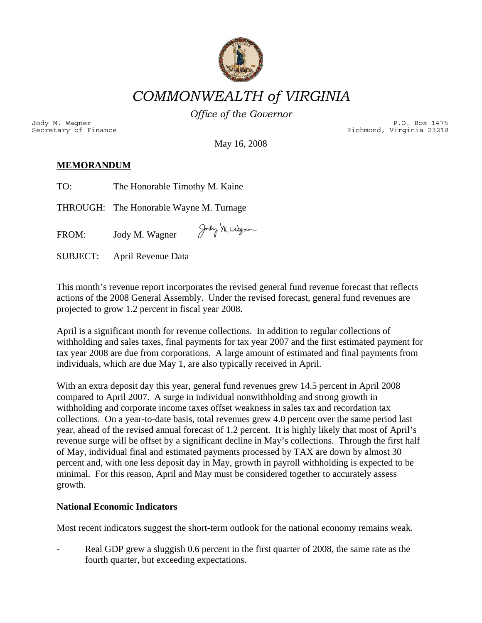

*COMMONWEALTH of VIRGINIA* 

*Office of the Governor*

Secretary of Finance and Secretary of Finance Richmond, Virginia 23218 Jody M. Wagner P.O. Box 1475

May 16, 2008

# $\overline{\text{MEMORANDUM}}$

| TO: | The Honorable Timothy M. Kaine |  |
|-----|--------------------------------|--|
|     |                                |  |

THROUGH: The Honorable Wayne M. Turnage

Jody Mccdegner  $FROM:$ Jody M. Wagner

April Revenue Data **SUBJECT:** 

This month's revenue report incorporates the revised general fund revenue forecast that reflects actions of the 2008 General Assembly. Under the revised forecast, general fund revenues are projected to grow 1.2 percent in fiscal year 2008.

tax year 2008 are due from corporations. A large amount of estimated and final payments from individuals, which are due May 1, are also typically received in April. April is a significant month for revenue collections. In addition to regular collections of withholding and sales taxes, final payments for tax year 2007 and the first estimated payment for

With an extra deposit day this year, general fund revenues grew 14.5 percent in April 2008 revenue surge will be offset by a significant decline in May's collections. Through the first half percent and, with one less deposit day in May, growth in payroll withholding is expected to be minimal. For this reason, April and May must be considered together to accurately assess growth. compared to April 2007. A surge in individual nonwithholding and strong growth in withholding and corporate income taxes offset weakness in sales tax and recordation tax collections. On a year-to-date basis, total revenues grew 4.0 percent over the same period last year, ahead of the revised annual forecast of 1.2 percent. It is highly likely that most of April's of May, individual final and estimated payments processed by TAX are down by almost 30

## **National Economic Indicators**

Most recent indicators suggest the short-term outlook for the national economy remains weak.

Fig. 2008, the same rate as the Real GDP grew a sluggish 0.6 percent in the first quarter of 2008, the same rate as the fourth quarter, but exceeding expectations.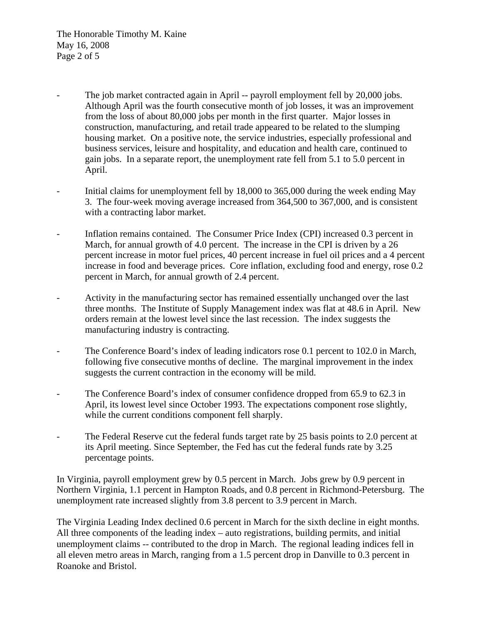The Honorable Timothy M. Kaine May 16, 2008 Page 2 of 5

- The job market contracted again in April -- payroll employment fell by 20,000 jobs. Although April was the fourth consecutive month of job losses, it was an improvement from the loss of about 80,000 jobs per month in the first quarter. Major losses in construction, manufacturing, and retail trade appeared to be related to the slumping housing market. On a positive note, the service industries, especially professional and business services, leisure and hospitality, and education and health care, continued to gain jobs. In a separate report, the unemployment rate fell from 5.1 to 5.0 percent in April.
- Initial claims for unemployment fell by 18,000 to 365,000 during the week ending May 3. The four-week moving average increased from 364,500 to 367,000, and is consistent with a contracting labor market.
- Inflation remains contained. The Consumer Price Index (CPI) increased 0.3 percent in March, for annual growth of 4.0 percent. The increase in the CPI is driven by a 26 percent increase in motor fuel prices, 40 percent increase in fuel oil prices and a 4 percent increase in food and beverage prices. Core inflation, excluding food and energy, rose 0.2 percent in March, for annual growth of 2.4 percent.
- Activity in the manufacturing sector has remained essentially unchanged over the last three months. The Institute of Supply Management index was flat at 48.6 in April. New orders remain at the lowest level since the last recession. The index suggests the manufacturing industry is contracting.
- The Conference Board's index of leading indicators rose 0.1 percent to 102.0 in March, following five consecutive months of decline. The marginal improvement in the index suggests the current contraction in the economy will be mild.
- The Conference Board's index of consumer confidence dropped from 65.9 to 62.3 in April, its lowest level since October 1993. The expectations component rose slightly, while the current conditions component fell sharply.
- The Federal Reserve cut the federal funds target rate by 25 basis points to 2.0 percent at its April meeting. Since September, the Fed has cut the federal funds rate by 3.25 percentage points.

In Virginia, payroll employment grew by 0.5 percent in March. Jobs grew by 0.9 percent in Northern Virginia, 1.1 percent in Hampton Roads, and 0.8 percent in Richmond-Petersburg. The unemployment rate increased slightly from 3.8 percent to 3.9 percent in March.

The Virginia Leading Index declined 0.6 percent in March for the sixth decline in eight months. All three components of the leading index – auto registrations, building permits, and initial unemployment claims -- contributed to the drop in March. The regional leading indices fell in all eleven metro areas in March, ranging from a 1.5 percent drop in Danville to 0.3 percent in Roanoke and Bristol.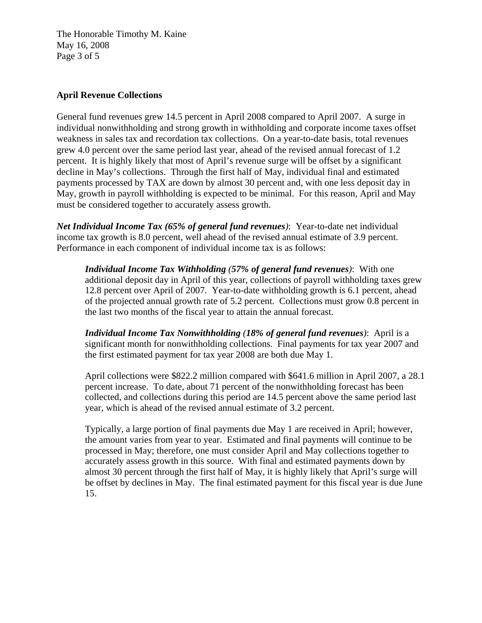The Honorable Timothy M. Kaine May 16, 2008 Page 3 of 5

#### **April Revenue Collections**

General fund revenues grew 14.5 percent in April 2008 compared to April 2007. A surge in individual nonwithholding and strong growth in withholding and corporate income taxes offset weakness in sales tax and recordation tax collections. On a year-to-date basis, total revenues grew 4.0 percent over the same period last year, ahead of the revised annual forecast of 1.2 percent. It is highly likely that most of April's revenue surge will be offset by a significant decline in May's collections. Through the first half of May, individual final and estimated payments processed by TAX are down by almost 30 percent and, with one less deposit day in May, growth in payroll withholding is expected to be minimal. For this reason, April and May must be considered together to accurately assess growth.

*Net Individual Income Tax (65% of general fund revenues)*: Year-to-date net individual income tax growth is 8.0 percent, well ahead of the revised annual estimate of 3.9 percent. Performance in each component of individual income tax is as follows:

*Individual Income Tax Withholding (57% of general fund revenues)*: With one additional deposit day in April of this year, collections of payroll withholding taxes grew 12.8 percent over April of 2007. Year-to-date withholding growth is 6.1 percent, ahead of the projected annual growth rate of 5.2 percent. Collections must grow 0.8 percent in the last two months of the fiscal year to attain the annual forecast.

*Individual Income Tax Nonwithholding (18% of general fund revenues)*: April is a significant month for nonwithholding collections. Final payments for tax year 2007 and the first estimated payment for tax year 2008 are both due May 1.

April collections were \$822.2 million compared with \$641.6 million in April 2007, a 28.1 percent increase. To date, about 71 percent of the nonwithholding forecast has been collected, and collections during this period are 14.5 percent above the same period last year, which is ahead of the revised annual estimate of 3.2 percent.

Typically, a large portion of final payments due May 1 are received in April; however, the amount varies from year to year. Estimated and final payments will continue to be processed in May; therefore, one must consider April and May collections together to accurately assess growth in this source. With final and estimated payments down by almost 30 percent through the first half of May, it is highly likely that April's surge will be offset by declines in May. The final estimated payment for this fiscal year is due June 15.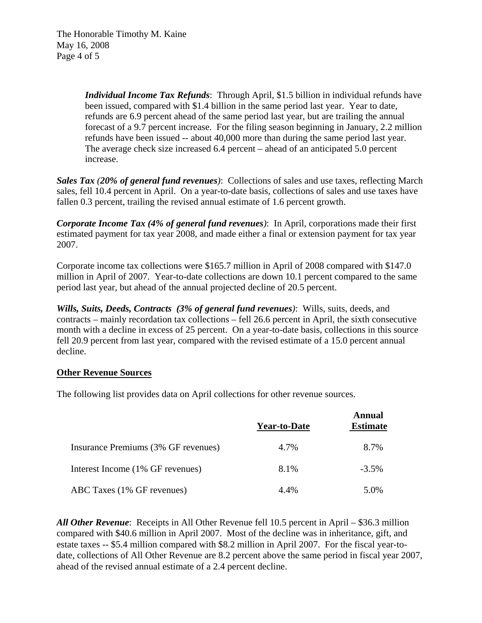*Individual Income Tax Refunds*: Through April, \$1.5 billion in individual refunds have been issued, compared with \$1.4 billion in the same period last year. Year to date, refunds are 6.9 percent ahead of the same period last year, but are trailing the annual forecast of a 9.7 percent increase. For the filing season beginning in January, 2.2 million refunds have been issued -- about 40,000 more than during the same period last year. The average check size increased 6.4 percent – ahead of an anticipated 5.0 percent increase.

*Sales Tax (20% of general fund revenues)*: Collections of sales and use taxes, reflecting March sales, fell 10.4 percent in April. On a year-to-date basis, collections of sales and use taxes have fallen 0.3 percent, trailing the revised annual estimate of 1.6 percent growth.

*Corporate Income Tax (4% of general fund revenues)*: In April, corporations made their first estimated payment for tax year 2008, and made either a final or extension payment for tax year 2007.

Corporate income tax collections were \$165.7 million in April of 2008 compared with \$147.0 million in April of 2007. Year-to-date collections are down 10.1 percent compared to the same period last year, but ahead of the annual projected decline of 20.5 percent.

*Wills, Suits, Deeds, Contracts**(3% of general fund revenues)*: Wills, suits, deeds, and contracts – mainly recordation tax collections – fell 26.6 percent in April, the sixth consecutive month with a decline in excess of 25 percent. On a year-to-date basis, collections in this source fell 20.9 percent from last year, compared with the revised estimate of a 15.0 percent annual decline.

#### **Other Revenue Sources**

The following list provides data on April collections for other revenue sources.

|                                     | <b>Year-to-Date</b> | Annual<br><b>Estimate</b> |
|-------------------------------------|---------------------|---------------------------|
| Insurance Premiums (3% GF revenues) | 4.7%                | 8.7%                      |
| Interest Income (1% GF revenues)    | 8.1%                | $-3.5\%$                  |
| ABC Taxes (1% GF revenues)          | 4.4%                | 5.0%                      |

*All Other Revenue*: Receipts in All Other Revenue fell 10.5 percent in April – \$36.3 million compared with \$40.6 million in April 2007. Most of the decline was in inheritance, gift, and estate taxes -- \$5.4 million compared with \$8.2 million in April 2007. For the fiscal year-todate, collections of All Other Revenue are 8.2 percent above the same period in fiscal year 2007, ahead of the revised annual estimate of a 2.4 percent decline.